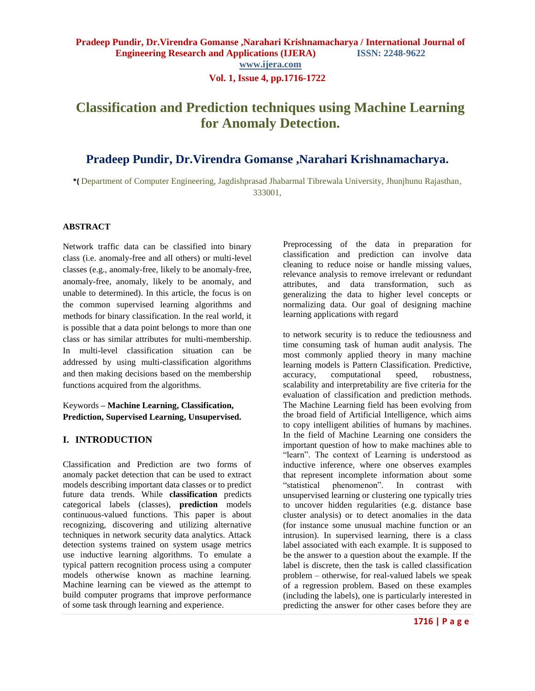# **Classification and Prediction techniques using Machine Learning for Anomaly Detection.**

# **Pradeep Pundir, Dr.Virendra Gomanse ,Narahari Krishnamacharya.**

**\*(** Department of Computer Engineering, Jagdishprasad Jhabarmal Tibrewala University, Jhunjhunu Rajasthan, 333001,

#### **ABSTRACT**

Network traffic data can be classified into binary class (i.e. anomaly-free and all others) or multi-level classes (e.g., anomaly-free, likely to be anomaly-free, anomaly-free, anomaly, likely to be anomaly, and unable to determined). In this article, the focus is on the common supervised learning algorithms and methods for binary classification. In the real world, it is possible that a data point belongs to more than one class or has similar attributes for multi-membership. In multi-level classification situation can be addressed by using multi-classification algorithms and then making decisions based on the membership functions acquired from the algorithms.

## Keywords **– Machine Learning, Classification, Prediction, Supervised Learning, Unsupervised.**

# **I. INTRODUCTION**

Classification and Prediction are two forms of anomaly packet detection that can be used to extract models describing important data classes or to predict future data trends. While **classification** predicts categorical labels (classes), **prediction** models continuous-valued functions. This paper is about recognizing, discovering and utilizing alternative techniques in network security data analytics. Attack detection systems trained on system usage metrics use inductive learning algorithms. To emulate a typical pattern recognition process using a computer models otherwise known as machine learning. Machine learning can be viewed as the attempt to build computer programs that improve performance of some task through learning and experience.

Preprocessing of the data in preparation for classification and prediction can involve data cleaning to reduce noise or handle missing values, relevance analysis to remove irrelevant or redundant attributes, and data transformation, such as generalizing the data to higher level concepts or normalizing data. Our goal of designing machine learning applications with regard

to network security is to reduce the tediousness and time consuming task of human audit analysis. The most commonly applied theory in many machine learning models is Pattern Classification. Predictive, accuracy, computational speed, robustness, scalability and interpretability are five criteria for the evaluation of classification and prediction methods. The Machine Learning field has been evolving from the broad field of Artificial Intelligence, which aims to copy intelligent abilities of humans by machines. In the field of Machine Learning one considers the important question of how to make machines able to "learn". The context of Learning is understood as inductive inference, where one observes examples that represent incomplete information about some "statistical phenomenon". In contrast with unsupervised learning or clustering one typically tries to uncover hidden regularities (e.g. distance base cluster analysis) or to detect anomalies in the data (for instance some unusual machine function or an intrusion). In supervised learning, there is a class label associated with each example. It is supposed to be the answer to a question about the example. If the label is discrete, then the task is called classification problem – otherwise, for real-valued labels we speak of a regression problem. Based on these examples (including the labels), one is particularly interested in predicting the answer for other cases before they are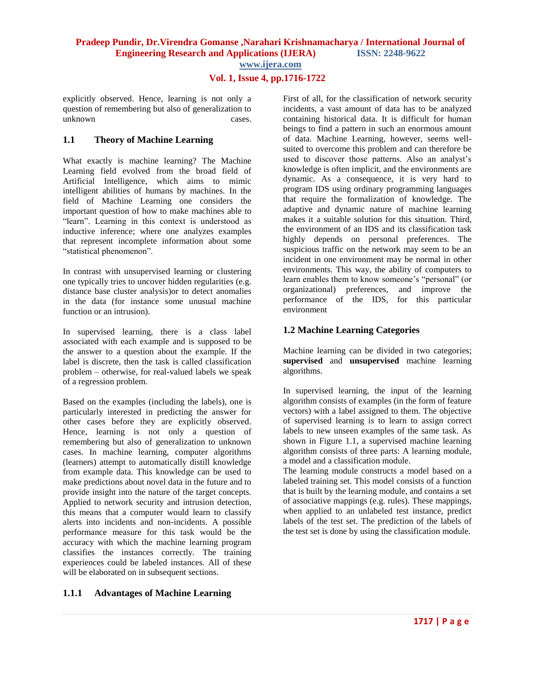# **Vol. 1, Issue 4, pp.1716-1722**

explicitly observed. Hence, learning is not only a question of remembering but also of generalization to unknown cases.

## **1.1 Theory of Machine Learning**

What exactly is machine learning? The Machine Learning field evolved from the broad field of Artificial Intelligence, which aims to mimic intelligent abilities of humans by machines. In the field of Machine Learning one considers the important question of how to make machines able to "learn". Learning in this context is understood as inductive inference; where one analyzes examples that represent incomplete information about some "statistical phenomenon".

In contrast with unsupervised learning or clustering one typically tries to uncover hidden regularities (e.g. distance base cluster analysis)or to detect anomalies in the data (for instance some unusual machine function or an intrusion).

In supervised learning, there is a class label associated with each example and is supposed to be the answer to a question about the example. If the label is discrete, then the task is called classification problem – otherwise, for real-valued labels we speak of a regression problem.

Based on the examples (including the labels), one is particularly interested in predicting the answer for other cases before they are explicitly observed. Hence, learning is not only a question of remembering but also of generalization to unknown cases. In machine learning, computer algorithms (learners) attempt to automatically distill knowledge from example data. This knowledge can be used to make predictions about novel data in the future and to provide insight into the nature of the target concepts. Applied to network security and intrusion detection, this means that a computer would learn to classify alerts into incidents and non-incidents. A possible performance measure for this task would be the accuracy with which the machine learning program classifies the instances correctly. The training experiences could be labeled instances. All of these will be elaborated on in subsequent sections.

# **1.1.1 Advantages of Machine Learning**

First of all, for the classification of network security incidents, a vast amount of data has to be analyzed containing historical data. It is difficult for human beings to find a pattern in such an enormous amount of data. Machine Learning, however, seems wellsuited to overcome this problem and can therefore be used to discover those patterns. Also an analyst's knowledge is often implicit, and the environments are dynamic. As a consequence, it is very hard to program IDS using ordinary programming languages that require the formalization of knowledge. The adaptive and dynamic nature of machine learning makes it a suitable solution for this situation. Third, the environment of an IDS and its classification task highly depends on personal preferences. The suspicious traffic on the network may seem to be an incident in one environment may be normal in other environments. This way, the ability of computers to learn enables them to know someone's "personal" (or organizational) preferences, and improve the performance of the IDS, for this particular environment

# **1.2 Machine Learning Categories**

Machine learning can be divided in two categories; **supervised** and **unsupervised** machine learning algorithms.

In supervised learning, the input of the learning algorithm consists of examples (in the form of feature vectors) with a label assigned to them. The objective of supervised learning is to learn to assign correct labels to new unseen examples of the same task. As shown in Figure 1.1, a supervised machine learning algorithm consists of three parts: A learning module, a model and a classification module.

The learning module constructs a model based on a labeled training set. This model consists of a function that is built by the learning module, and contains a set of associative mappings (e.g. rules). These mappings, when applied to an unlabeled test instance, predict labels of the test set. The prediction of the labels of the test set is done by using the classification module.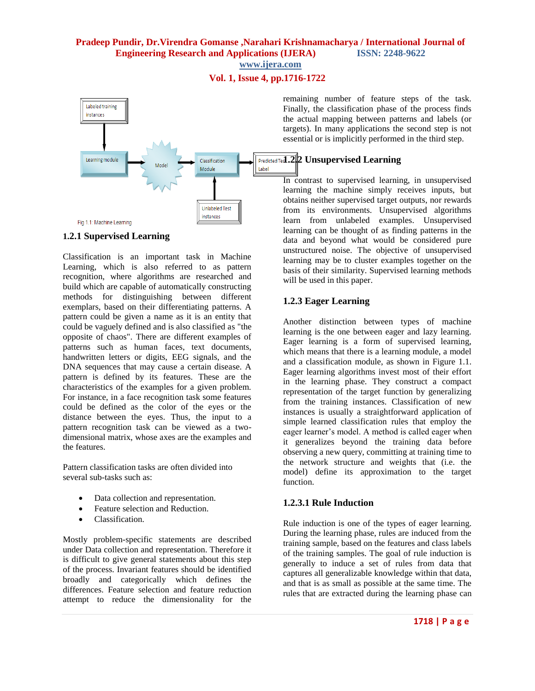# **Vol. 1, Issue 4, pp.1716-1722**



#### **1.2.1 Supervised Learning**

Classification is an important task in Machine Learning, which is also referred to as pattern recognition, where algorithms are researched and build which are capable of automatically constructing methods for distinguishing between different exemplars, based on their differentiating patterns. A pattern could be given a name as it is an entity that could be vaguely defined and is also classified as "the opposite of chaos". There are different examples of patterns such as human faces, text documents, handwritten letters or digits, EEG signals, and the DNA sequences that may cause a certain disease. A pattern is defined by its features. These are the characteristics of the examples for a given problem. For instance, in a face recognition task some features could be defined as the color of the eyes or the distance between the eyes. Thus, the input to a pattern recognition task can be viewed as a twodimensional matrix, whose axes are the examples and the features.

Pattern classification tasks are often divided into several sub-tasks such as:

- Data collection and representation.
- Feature selection and Reduction.
- Classification.

Mostly problem-specific statements are described under Data collection and representation. Therefore it is difficult to give general statements about this step of the process. Invariant features should be identified broadly and categorically which defines the differences. Feature selection and feature reduction attempt to reduce the dimensionality for the

remaining number of feature steps of the task. Finally, the classification phase of the process finds the actual mapping between patterns and labels (or targets). In many applications the second step is not essential or is implicitly performed in the third step.

# **Predicted Tes1.2.2 Unsupervised Learning**

In contrast to supervised learning, in unsupervised learning the machine simply receives inputs, but obtains neither supervised target outputs, nor rewards from its environments. Unsupervised algorithms learn from unlabeled examples. Unsupervised learning can be thought of as finding patterns in the data and beyond what would be considered pure unstructured noise. The objective of unsupervised learning may be to cluster examples together on the basis of their similarity. Supervised learning methods will be used in this paper.

## **1.2.3 Eager Learning**

Another distinction between types of machine learning is the one between eager and lazy learning. Eager learning is a form of supervised learning, which means that there is a learning module, a model and a classification module, as shown in Figure 1.1. Eager learning algorithms invest most of their effort in the learning phase. They construct a compact representation of the target function by generalizing from the training instances. Classification of new instances is usually a straightforward application of simple learned classification rules that employ the eager learner's model. A method is called eager when it generalizes beyond the training data before observing a new query, committing at training time to the network structure and weights that (i.e. the model) define its approximation to the target function.

#### **1.2.3.1 Rule Induction**

Rule induction is one of the types of eager learning. During the learning phase, rules are induced from the training sample, based on the features and class labels of the training samples. The goal of rule induction is generally to induce a set of rules from data that captures all generalizable knowledge within that data, and that is as small as possible at the same time. The rules that are extracted during the learning phase can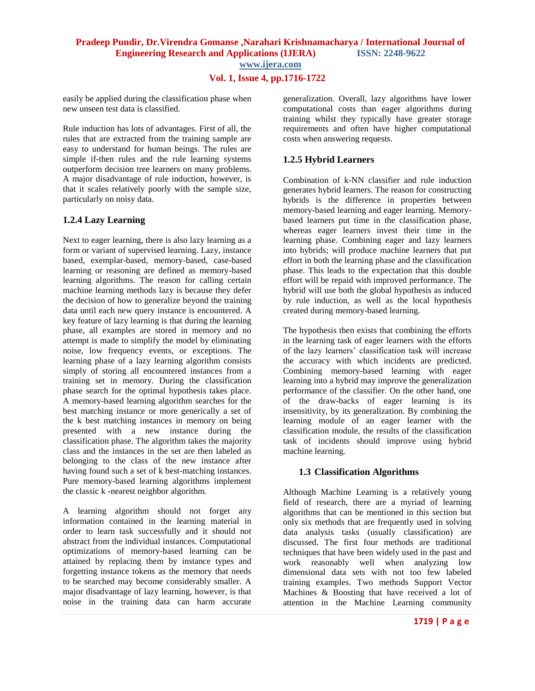# **Vol. 1, Issue 4, pp.1716-1722**

easily be applied during the classification phase when new unseen test data is classified.

Rule induction has lots of advantages. First of all, the rules that are extracted from the training sample are easy to understand for human beings. The rules are simple if-then rules and the rule learning systems outperform decision tree learners on many problems. A major disadvantage of rule induction, however, is that it scales relatively poorly with the sample size, particularly on noisy data.

## **1.2.4 Lazy Learning**

Next to eager learning, there is also lazy learning as a form or variant of supervised learning. Lazy, instance based, exemplar-based, memory-based, case-based learning or reasoning are defined as memory-based learning algorithms. The reason for calling certain machine learning methods lazy is because they defer the decision of how to generalize beyond the training data until each new query instance is encountered. A key feature of lazy learning is that during the learning phase, all examples are stored in memory and no attempt is made to simplify the model by eliminating noise, low frequency events, or exceptions. The learning phase of a lazy learning algorithm consists simply of storing all encountered instances from a training set in memory. During the classification phase search for the optimal hypothesis takes place. A memory-based learning algorithm searches for the best matching instance or more generically a set of the k best matching instances in memory on being presented with a new instance during the classification phase. The algorithm takes the majority class and the instances in the set are then labeled as belonging to the class of the new instance after having found such a set of k best-matching instances. Pure memory-based learning algorithms implement the classic k -nearest neighbor algorithm.

A learning algorithm should not forget any information contained in the learning material in order to learn task successfully and it should not abstract from the individual instances. Computational optimizations of memory-based learning can be attained by replacing them by instance types and forgetting instance tokens as the memory that needs to be searched may become considerably smaller. A major disadvantage of lazy learning, however, is that noise in the training data can harm accurate

generalization. Overall, lazy algorithms have lower computational costs than eager algorithms during training whilst they typically have greater storage requirements and often have higher computational costs when answering requests.

# **1.2.5 Hybrid Learners**

Combination of k-NN classifier and rule induction generates hybrid learners. The reason for constructing hybrids is the difference in properties between memory-based learning and eager learning. Memorybased learners put time in the classification phase, whereas eager learners invest their time in the learning phase. Combining eager and lazy learners into hybrids; will produce machine learners that put effort in both the learning phase and the classification phase. This leads to the expectation that this double effort will be repaid with improved performance. The hybrid will use both the global hypothesis as induced by rule induction, as well as the local hypothesis created during memory-based learning.

The hypothesis then exists that combining the efforts in the learning task of eager learners with the efforts of the lazy learners' classification task will increase the accuracy with which incidents are predicted. Combining memory-based learning with eager learning into a hybrid may improve the generalization performance of the classifier. On the other hand, one of the draw-backs of eager learning is its insensitivity, by its generalization. By combining the learning module of an eager learner with the classification module, the results of the classification task of incidents should improve using hybrid machine learning.

# **1.3 Classification Algorithms**

Although Machine Learning is a relatively young field of research, there are a myriad of learning algorithms that can be mentioned in this section but only six methods that are frequently used in solving data analysis tasks (usually classification) are discussed. The first four methods are traditional techniques that have been widely used in the past and work reasonably well when analyzing low dimensional data sets with not too few labeled training examples. Two methods Support Vector Machines & Boosting that have received a lot of attention in the Machine Learning community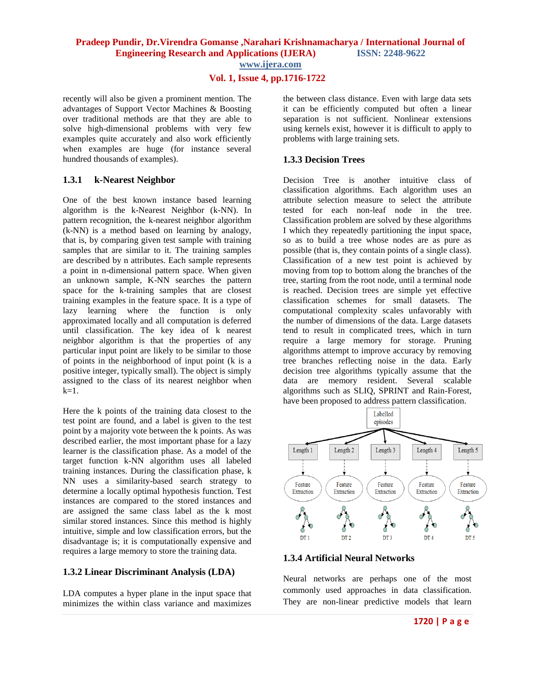**www.ijera.com**

# **Vol. 1, Issue 4, pp.1716-1722**

recently will also be given a prominent mention. The advantages of Support Vector Machines & Boosting over traditional methods are that they are able to solve high-dimensional problems with very few examples quite accurately and also work efficiently when examples are huge (for instance several hundred thousands of examples).

# **1.3.1 k-Nearest Neighbor**

One of the best known instance based learning algorithm is the k-Nearest Neighbor (k-NN). In pattern recognition, the k-nearest neighbor algorithm (k-NN) is a method based on learning by analogy, that is, by comparing given test sample with training samples that are similar to it. The training samples are described by n attributes. Each sample represents a point in n-dimensional pattern space. When given an unknown sample, K-NN searches the pattern space for the k-training samples that are closest training examples in the feature space. It is a type of lazy learning where the function is only approximated locally and all computation is deferred until classification. The key idea of k nearest neighbor algorithm is that the properties of any particular input point are likely to be similar to those of points in the neighborhood of input point (k is a positive integer, typically small). The object is simply assigned to the class of its nearest neighbor when  $k=1$ .

Here the k points of the training data closest to the test point are found, and a label is given to the test point by a majority vote between the k points. As was described earlier, the most important phase for a lazy learner is the classification phase. As a model of the target function k-NN algorithm uses all labeled training instances. During the classification phase, k NN uses a similarity-based search strategy to determine a locally optimal hypothesis function. Test instances are compared to the stored instances and are assigned the same class label as the k most similar stored instances. Since this method is highly intuitive, simple and low classification errors, but the disadvantage is; it is computationally expensive and requires a large memory to store the training data.

# **1.3.2 Linear Discriminant Analysis (LDA)**

LDA computes a hyper plane in the input space that minimizes the within class variance and maximizes the between class distance. Even with large data sets it can be efficiently computed but often a linear separation is not sufficient. Nonlinear extensions using kernels exist, however it is difficult to apply to problems with large training sets.

# **1.3.3 Decision Trees**

Decision Tree is another intuitive class of classification algorithms. Each algorithm uses an attribute selection measure to select the attribute tested for each non-leaf node in the tree. Classification problem are solved by these algorithms I which they repeatedly partitioning the input space, so as to build a tree whose nodes are as pure as possible (that is, they contain points of a single class). Classification of a new test point is achieved by moving from top to bottom along the branches of the tree, starting from the root node, until a terminal node is reached. Decision trees are simple yet effective classification schemes for small datasets. The computational complexity scales unfavorably with the number of dimensions of the data. Large datasets tend to result in complicated trees, which in turn require a large memory for storage. Pruning algorithms attempt to improve accuracy by removing tree branches reflecting noise in the data. Early decision tree algorithms typically assume that the data are memory resident. Several scalable algorithms such as SLIQ, SPRINT and Rain-Forest, have been proposed to address pattern classification.



# **1.3.4 Artificial Neural Networks**

Neural networks are perhaps one of the most commonly used approaches in data classification. They are non-linear predictive models that learn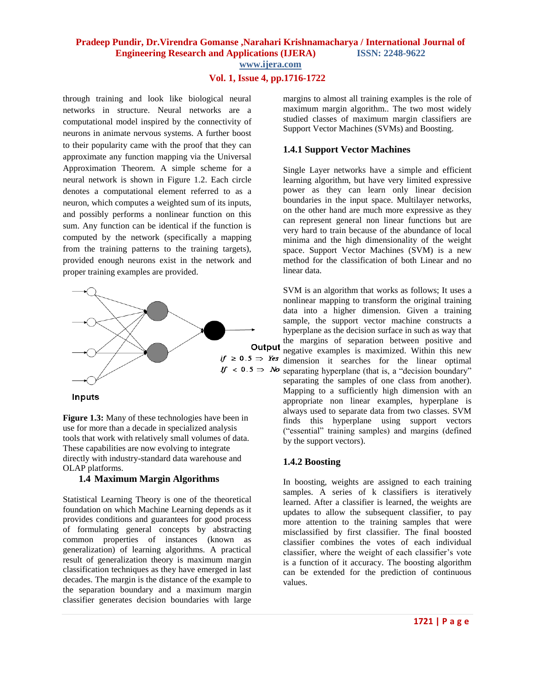## **Vol. 1, Issue 4, pp.1716-1722**

through training and look like biological neural networks in structure. Neural networks are a computational model inspired by the connectivity of neurons in animate nervous systems. A further boost to their popularity came with the proof that they can approximate any function mapping via the Universal Approximation Theorem. A simple scheme for a neural network is shown in Figure 1.2. Each circle denotes a computational element referred to as a neuron, which computes a weighted sum of its inputs, and possibly performs a nonlinear function on this sum. Any function can be identical if the function is computed by the network (specifically a mapping from the training patterns to the training targets), provided enough neurons exist in the network and proper training examples are provided.



Inputs

**Figure 1.3:** Many of these technologies have been in use for more than a decade in specialized analysis tools that work with relatively small volumes of data. These capabilities are now evolving to integrate directly with industry-standard data warehouse and OLAP platforms.

#### **1.4 Maximum Margin Algorithms**

Statistical Learning Theory is one of the theoretical foundation on which Machine Learning depends as it provides conditions and guarantees for good process of formulating general concepts by abstracting common properties of instances (known as generalization) of learning algorithms. A practical result of generalization theory is maximum margin classification techniques as they have emerged in last decades. The margin is the distance of the example to the separation boundary and a maximum margin classifier generates decision boundaries with large

margins to almost all training examples is the role of maximum margin algorithm.. The two most widely studied classes of maximum margin classifiers are Support Vector Machines (SVMs) and Boosting.

#### **1.4.1 Support Vector Machines**

Single Layer networks have a simple and efficient learning algorithm, but have very limited expressive power as they can learn only linear decision boundaries in the input space. Multilayer networks, on the other hand are much more expressive as they can represent general non linear functions but are very hard to train because of the abundance of local minima and the high dimensionality of the weight space. Support Vector Machines (SVM) is a new method for the classification of both Linear and no linear data.

SVM is an algorithm that works as follows; It uses a nonlinear mapping to transform the original training data into a higher dimension. Given a training sample, the support vector machine constructs a hyperplane as the decision surface in such as way that the margins of separation between positive and negative examples is maximized. Within this new  $if \ge 0.5 \Rightarrow Yes$  dimension it searches for the linear optimal  $\mathbf{f} \sim 0.5 \Rightarrow M\text{o}$  separating hyperplane (that is, a "decision boundary" separating the samples of one class from another). Mapping to a sufficiently high dimension with an appropriate non linear examples, hyperplane is always used to separate data from two classes. SVM finds this hyperplane using support vectors ("essential" training samples) and margins (defined by the support vectors).

#### **1.4.2 Boosting**

In boosting, weights are assigned to each training samples. A series of k classifiers is iteratively learned. After a classifier is learned, the weights are updates to allow the subsequent classifier, to pay more attention to the training samples that were misclassified by first classifier. The final boosted classifier combines the votes of each individual classifier, where the weight of each classifier's vote is a function of it accuracy. The boosting algorithm can be extended for the prediction of continuous values.